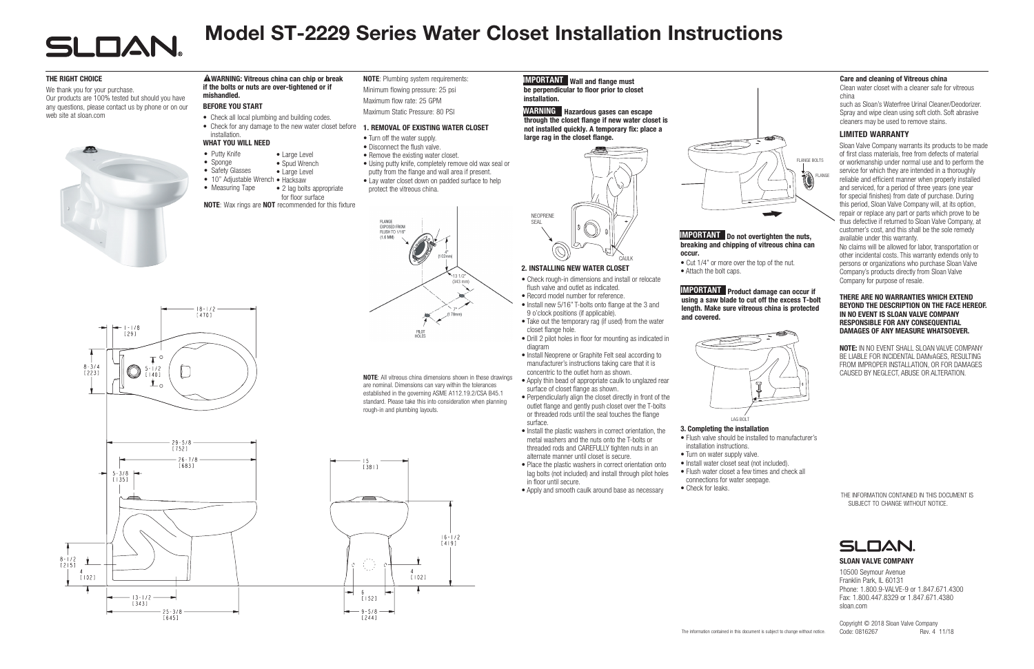

# Model ST-2229 Series Water Closet Installation Instructions

– 1 - 1 / 8<br>[ 2 9 ]  $\circ$  $8 - 3/4$  $-1/2$  $\bigcirc$  $12231$  $1140$  $\mathbf{L}_{\circ}$  $29 - 5/8$ <br>[752]  $26 - 7/8$ [683]  $5 - 3/8$  $\left[135\right]$  $8 - 1/2$ <br>[2] 5]  $[102]$  $13 - 1/2$  $[343]$  $25 - 3/8$ 

 $[645]$ 

Copyright © 2018 Sloan Valve Company Code: 0816267 Rev. 4 11/18

### SLOAN VALVE COMPANY

10500 Seymour Avenue Franklin Park, IL 60131 Phone: 1.800.9-VALVE-9 or 1.847.671.4300 Fax: 1.800.447.8329 or 1.847.671.4380 sloan.com

THE INFORMATION CONTAINED IN THIS DOCUMENT IS SUBJECT TO CHANGE WITHOUT NOTICE.



- Sponge
- Safety Glasses • Large Level
- 10" Adjustable Wrench Hacksaw
- Measuring Tape • 2 lag bolts appropriate

NOTE: All vitreous china dimensions shown in these drawings are nominal. Dimensions can vary within the tolerances established in the governing ASME A112.19.2/CSA B45.1 standard. Please take this into consideration when planning rough-in and plumbing layouts.



## **IMPORTANT** Wall and flange must

### WARNING: Vitreous china can chip or break if the bolts or nuts are over-tightened or if mishandled.

### BEFORE YOU START

- Check all local plumbing and building codes.
- Check for any damage to the new water closet before 1. REMOVAL OF EXISTING WATER CLOSET installation.

• Large Level • Spud Wrench

### WHAT YOU WILL NEED

• Putty Knife

 $\frac{18-1/2}{1470}$ 

NOTE: Plumbing system requirements: Minimum flowing pressure: 25 psi Maximum flow rate: 25 GPM

Maximum Static Pressure: 80 PSI

2. INSTALLING NEW WATER CLOSET

be perpendicular to floor prior to closet installation.

• Check rough-in dimensions and install or relocate

closet flange hole.

- Drill 2 pilot holes in floor for mounting as indicated in diagram
- Install Neoprene or Graphite Felt seal according to manufacturer's instructions taking care that it is concentric to the outlet horn as shown.
- Apply thin bead of appropriate caulk to unglazed rear surface of closet flange as shown.
- Perpendicularly align the closet directly in front of the outlet flange and gently push closet over the T-bolts or threaded rods until the seal touches the flange surface.
- Install the plastic washers in correct orientation, the metal washers and the nuts onto the T-bolts or threaded rods and CAREFULLY tighten nuts in an alternate manner until closet is secure.
- Place the plastic washers in correct orientation onto In the plastic washers in correct onemation onto<br>lag bolts (not included) and install through pilot holes in floor until secure.
- Apply and smooth caulk around base as necessary

WARNING Hazardous gases can escape through the closet flange if new water closet is not installed quickly. A temporary fix: place a large rag in the closet flange.



NEOPRENE **SEAL** 

flush valve and outlet as indicated.

### **IMPORTANT** Do not overtighten the nuts, breaking and chipping of vitreous china can occur.

- Cut 1/4" or more over the top of the nut.
- Attach the bolt caps.

# **IMPORTANT** Product damage can occur if

- installation instructions.
- Turn on water supply valve.
- Flush water closet a few times and check all connections for water seepage.
- Check for leaks.

### LIMITED WARRANTY

NOTE: Wax rings are NOT recommended for this fixture for floor surface

Sloan Valve Company warrants its products to be made of first class materials, free from defects of material or workmanship under normal use and to perform the service for which they are intended in a thoroughly reliable and efficient manner when properly installed and serviced, for a period of three years (one year for special finishes) from date of purchase. During this period, Sloan Valve Company will, at its option, repair or replace any part or parts which prove to be thus defective if returned to Sloan Valve Company, at customer's cost, and this shall be the sole remedy available under this warranty.

• Record model number for reference. • Install new 5/16" T-bolts onto flange at the 3 and 9 o'clock positions (if applicable). • Take out the temporary rag (if used) from the water and covered.

No claims will be allowed for labor, transportation or other incidental costs. This warranty extends only to persons or organizations who purchase Sloan Valve Company's products directly from Sloan Valve Company for purpose of resale.

### THERE ARE NO WARRANTIES WHICH EXTEND BEYOND THE DESCRIPTION ON THE FACE HEREOF. IN NO EVENT IS SLOAN VALVE COMPANY RESPONSIBLE FOR ANY CONSEQUENTIAL DAMAGES OF ANY MEASURE WHATSOEVER.

NOTE: IN NO EVENT SHALL SLOAN VALVE COMPANY BE LIABLE FOR INCIDENTAL DAMvAGES, RESULTING FROM IMPROPER INSTALLATION, OR FOR DAMAGES CAUSED BY NEGLECT, ABUSE OR ALTERATION.

### THE RIGHT CHOICE

We thank you for your purchase. Our products are 100% tested but should you have any questions, please contact us by phone or on our web site at sloan.com



- Turn off the water supply.
- Disconnect the flush valve.
- Remove the existing water closet.
- Using putty knife, completely remove old wax seal or
- putty from the flange and wall area if present.
- Lay water closet down on padded surface to help protect the vitreous china.



CAULK

## using a saw blade to cut off the excess T-bolt length. Make sure vitreous china is protected



## 3. Completing the installation

# • Flush valve should be installed to manufacturer's

• Install water closet seat (not included).

### Care and cleaning of Vitreous china

Clean water closet with a cleaner safe for vitreous china

such as Sloan's Waterfree Urinal Cleaner/Deodorizer. Spray and wipe clean using soft cloth. Soft abrasive cleaners may be used to remove stains.